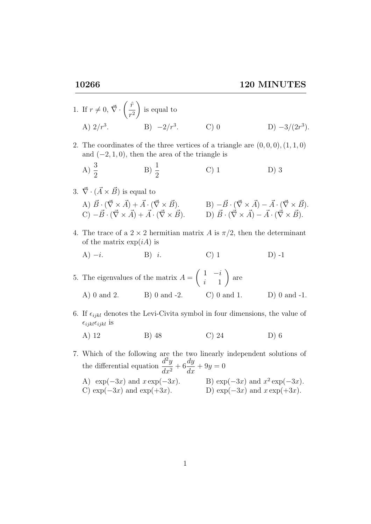- 1. If  $r \neq 0, \vec{\nabla} \cdot \left( \frac{\hat{r}}{2} \right)$  $r<sup>2</sup>$  $\setminus$ is equal to A)  $2/r^3$ .  $B) -2/r^3$ . . C) 0 D)  $-3/(2r^3)$ .
- 2. The coordinates of the three vertices of a triangle are  $(0,0,0), (1,1,0)$ and  $(-2, 1, 0)$ , then the area of the triangle is

A) 
$$
\frac{3}{2}
$$
 \t\t B)  $\frac{1}{2}$  \t\t C) 1 \t\t D) 3

3. 
$$
\vec{\nabla} \cdot (\vec{A} \times \vec{B})
$$
 is equal to  
\nA)  $\vec{B} \cdot (\vec{\nabla} \times \vec{A}) + \vec{A} \cdot (\vec{\nabla} \times \vec{B})$ .  
\nB)  $-\vec{B} \cdot (\vec{\nabla} \times \vec{A}) - \vec{A} \cdot (\vec{\nabla} \times \vec{B})$ .  
\nC)  $-\vec{B} \cdot (\vec{\nabla} \times \vec{A}) + \vec{A} \cdot (\vec{\nabla} \times \vec{B})$ .  
\nD)  $\vec{B} \cdot (\vec{\nabla} \times \vec{A}) - \vec{A} \cdot (\vec{\nabla} \times \vec{B})$ .

4. The trace of a  $2 \times 2$  hermitian matrix A is  $\pi/2$ , then the determinant of the matrix  $\exp(iA)$  is

A)  $-i.$  B) i. C) 1 D) -1

5. The eigenvalues of the matrix  $A =$  $\begin{pmatrix} 1 & -i \end{pmatrix}$ i 1  $\setminus$ are A) 0 and 2. B) 0 and -2. C) 0 and 1. D) 0 and -1.

6. If  $\epsilon_{ijkl}$  denotes the Levi-Civita symbol in four dimensions, the value of  $\epsilon_{ijkl} \epsilon_{ijkl}$  is

A) 12 B) 48 C) 24 D) 6

7. Which of the following are the two linearly independent solutions of the differential equation  $\frac{d^2y}{dx^2}$  $\frac{d^2y}{dx^2} + 6$ dy  $\frac{dy}{dx} + 9y = 0$ A)  $\exp(-3x)$  and  $x \exp(-3x)$ .  $^{2} \exp(-3x)$ . C) exp( $-3x$ ) and exp( $+3x$ ). D) exp( $-3x$ ) and  $x \exp(+3x)$ .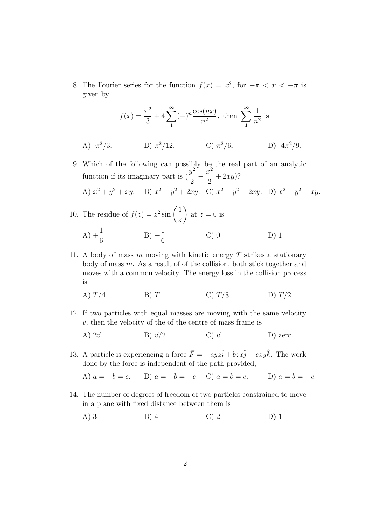8. The Fourier series for the function  $f(x) = x^2$ , for  $-\pi < x < +\pi$  is given by

$$
f(x) = \frac{\pi^2}{3} + 4\sum_{1}^{\infty} (-)^n \frac{\cos(nx)}{n^2}
$$
, then  $\sum_{1}^{\infty} \frac{1}{n^2}$  is

- A)  $\pi^2/3$ . B)  $\pi^2/12$ . C)  $\pi^2/6$ . D)  $4\pi^2/9$ .
- 9. Which of the following can possibly be the real part of an analytic function if its imaginary part is  $\left(\frac{y^2}{2}\right)^{y^2}$ 2  $-\frac{x^2}{2}$ 2  $+ 2xy$ ? A)  $x^2 + y^2 + xy$ . B)  $x^2 + y^2 + 2xy$ . C)  $x^2 + y^2 - 2xy$ . D)  $x^2 - y^2 + xy$ .
- 10. The residue of  $f(z) = z^2 \sin \left( \frac{1}{z} \right)$ z  $\setminus$ at  $z = 0$  is A)  $+\frac{1}{6}$ 6  $(B) -\frac{1}{c}$ 6 C) 0 D) 1
- 11. A body of mass  $m$  moving with kinetic energy  $T$  strikes a stationary body of mass  $m$ . As a result of of the collision, both stick together and moves with a common velocity. The energy loss in the collision process is

A) 
$$
T/4
$$
. B) T. C)  $T/8$ . D)  $T/2$ .

- 12. If two particles with equal masses are moving with the same velocity  $\vec{v}$ , then the velocity of the of the centre of mass frame is
	- A)  $2\vec{v}$ . B)  $\vec{v}/2$ . C)  $\vec{v}$ . D) zero.
- 13. A particle is experiencing a force  $\vec{F} = -ayz\hat{i} + bzx\hat{j} cxy\hat{k}$ . The work done by the force is independent of the path provided,
	- A)  $a = -b = c$ . B)  $a = -b = -c$ . C)  $a = b = c$ . D)  $a = b = -c$ .
- 14. The number of degrees of freedom of two particles constrained to move in a plane with fixed distance between them is
	- A) 3 B) 4 C) 2 D) 1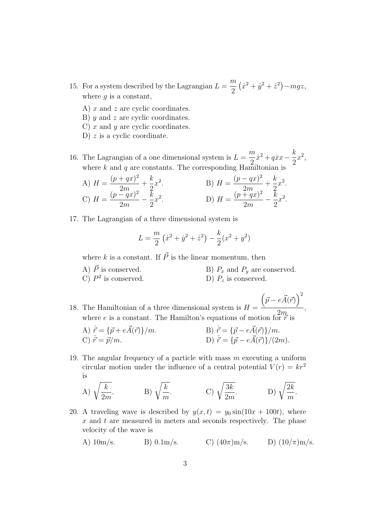- 15. For a system described by the Lagrangian  $L =$ m 2  $(\dot{x}^2 + \dot{y}^2 + \dot{z}^2) - mgz,$ where  $q$  is a constant,
	- A)  $x$  and  $z$  are cyclic coordinates.
	- B) y and z are cyclic coordinates.
	- C) x and y are cyclic coordinates.
	- D)  $z$  is a cyclic coordinate.

16. The Lagrangian of a one dimensional system is  $L =$ m 2  $\dot{x}^2 + q\dot{x}x - \frac{k}{2}$ 2  $x^2$ where k and q are constants. The corresponding Hamiltonian is

A) 
$$
H = \frac{(p+qx)^2}{2m} + \frac{k}{2}x^2
$$
.  
\nB)  $H = \frac{(p-qx)^2}{2m} + \frac{k}{2}x^2$ .  
\nC)  $H = \frac{(p-qx)^2}{2m} - \frac{k}{2}x^2$ .  
\nD)  $H = \frac{(p+qx)^2}{2m} - \frac{k}{2}x^2$ .

17. The Lagrangian of a three dimensional system is

$$
L = \frac{m}{2} \left( \dot{x}^2 + \dot{y}^2 + \dot{z}^2 \right) - \frac{k}{2} (x^2 + y^2)
$$

where k is a constant. If  $\vec{P}$  is the linear momentum, then

A)  $\vec{P}$  is conserved. B)  $P_x$  and  $P_y$  are conserved. C)  $P^2$ D)  $P_z$  is conserved.

18. The Hamiltonian of a three dimensional system is  $H =$  $(\vec{p} - e\vec{A}(\vec{r}))^2$  $2m$ where e is a constant. The Hamilton's equations of motion for  $\vec{r}$  is

,

- A)  $\vec{r} = {\vec{p} + e\vec{A}(\vec{r})}/m$ . B)  $\vec{r} = {\vec{p} e\vec{A}(\vec{r})}/m$ . A)  $\vec{r} = {\vec{p} + e\vec{A}(\vec{r})}/m$ .<br>
B)  $\vec{r} = {\vec{p} - e\vec{A}(\vec{r})}/m$ .<br>
D)  $\vec{r} = {\vec{p} - e\vec{A}(\vec{r})}/(2m)$ .
- 19. The angular frequency of a particle with mass  $m$  executing a uniform circular motion under the influence of a central potential  $V(r) = kr^2$ is

A) 
$$
\sqrt{\frac{k}{2m}}
$$
.  
B)  $\sqrt{\frac{k}{m}}$ .  
C)  $\sqrt{\frac{3k}{2m}}$ .  
D)  $\sqrt{\frac{2k}{m}}$ .

- 20. A traveling wave is described by  $y(x, t) = y_0 \sin(10x + 100t)$ , where  $x$  and  $t$  are measured in meters and seconds respectively. The phase velocity of the wave is
	- A)  $10 \text{m/s}$ . B)  $0.1 \text{m/s}$ . C)  $(40 \pi) \text{m/s}$ . D)  $(10/\pi) \text{m/s}$ .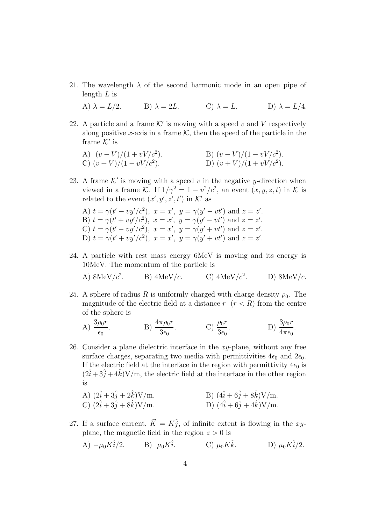21. The wavelength  $\lambda$  of the second harmonic mode in an open pipe of length  $L$  is

A)  $\lambda = L/2$ . B)  $\lambda = 2L$ . C)  $\lambda = L$ . D)  $\lambda = L/4$ .

22. A particle and a frame  $K'$  is moving with a speed v and V respectively along positive x-axis in a frame  $K$ , then the speed of the particle in the frame  $K'$  is

A) 
$$
(v - V)/(1 + vV/c^2)
$$
.  
\nB)  $(v - V)/(1 - vV/c^2)$ .  
\nC)  $(v + V)/(1 - vV/c^2)$ .  
\nD)  $(v + V)/(1 + vV/c^2)$ .

- 23. A frame  $K'$  is moving with a speed v in the negative y-direction when viewed in a frame K. If  $1/\gamma^2 = 1 - v^2/c^2$ , an event  $(x, y, z, t)$  in K is related to the event  $(x', y', z', t')$  in K' as
	- A)  $t = \gamma(t' vy'/c^2), \ x = x', \ y = \gamma(y' vt') \text{ and } z = z'.$ B)  $t = \gamma(t' + vy'/c^2), x = x', y = \gamma(y' - vt') \text{ and } z = z'.$ C)  $t = \gamma(t' - vy'/c^2), x = x', y = \gamma(y' + vt') \text{ and } z = z'.$ D)  $t = \gamma(t' + vy'/c^2), x = x', y = \gamma(y' + vt')$  and  $z = z'$ .
- 24. A particle with rest mass energy 6MeV is moving and its energy is 10MeV. The momentum of the particle is

A) 
$$
8\text{MeV}/c^2
$$
. B)  $4\text{MeV}/c$ . C)  $4\text{MeV}/c^2$ . D)  $8\text{MeV}/c$ .

25. A sphere of radius R is uniformly charged with charge density  $\rho_0$ . The magnitude of the electric field at a distance  $r$   $(r < R)$  from the centre of the sphere is

A) 
$$
\frac{3\rho_0 r}{\epsilon_0}
$$
.  
B)  $\frac{4\pi \rho_0 r}{3\epsilon_0}$ .  
C)  $\frac{\rho_0 r}{3\epsilon_0}$ .  
D)  $\frac{3\rho_0 r}{4\pi \epsilon_0}$ .

26. Consider a plane dielectric interface in the  $xy$ -plane, without any free surface charges, separating two media with permittivities  $4\epsilon_0$  and  $2\epsilon_0$ . If the electric field at the interface in the region with permittivity  $4\epsilon_0$  is  $(2\hat{i} + 3\hat{j} + 4\hat{k})V/m$ , the electric field at the interface in the other region is

A) 
$$
(2\hat{i} + 3\hat{j} + 2\hat{k})V/m
$$
.  
B)  $(4\hat{i} + 6\hat{j} + 8\hat{k})V/m$ .

C) 
$$
(2\hat{i} + 3\hat{j} + 8\hat{k})V/m
$$
. D)  $(4\hat{i} + 6\hat{j} + 4\hat{k})V/m$ .

27. If a surface current,  $\vec{K} = K\hat{j}$ , of infinite extent is flowing in the xyplane, the magnetic field in the region  $z > 0$  is

A) 
$$
-\mu_0 K \hat{i}/2
$$
. B)  $\mu_0 K \hat{i}$ . C)  $\mu_0 K \hat{k}$ . D)  $\mu_0 K \hat{i}/2$ .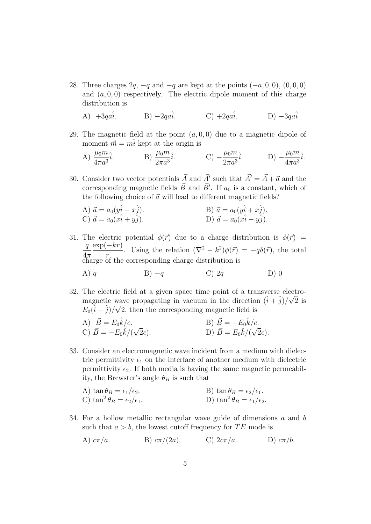28. Three charges  $2q$ ,  $-q$  and  $-q$  are kept at the points  $(-a, 0, 0)$ ,  $(0, 0, 0)$ and  $(a, 0, 0)$  respectively. The electric dipole moment of this charge distribution is

A)  $+3qa\hat{i}$ . B)  $-2qa\hat{i}$ . C)  $+2qa\hat{i}$ . D)  $-3qa\hat{i}$ 

29. The magnetic field at the point  $(a, 0, 0)$  due to a magnetic dipole of moment  $\vec{m} = m\hat{i}$  kept at the origin is

A) 
$$
\frac{\mu_0 m}{4\pi a^3} \hat{i}
$$
.  
B)  $\frac{\mu_0 m}{2\pi a^3} \hat{i}$ .  
C)  $-\frac{\mu_0 m}{2\pi a^3} \hat{i}$ .  
D)  $-\frac{\mu_0 m}{4\pi a^3} \hat{i}$ .

30. Consider two vector potentials  $\vec{A}$  and  $\vec{A}'$  such that  $\vec{A}' = \vec{A} + \vec{a}$  and the corresponding magnetic fields  $\vec{B}$  and  $\vec{B}'$ . If  $a_0$  is a constant, which of the following choice of  $\vec{a}$  will lead to different magnetic fields?

A) 
$$
\vec{a} = a_0(\hat{y}i - xj)
$$
.  
\nB)  $\vec{a} = a_0(\hat{y}i + xj)$ .  
\nC)  $\vec{a} = a_0(\hat{x}i + yj)$ .  
\nD)  $\vec{a} = a_0(\hat{x}i - yj)$ .

31. The electric potential  $\phi(\vec{r})$  due to a charge distribution is  $\phi(\vec{r})$  =  $\frac{q}{r} \frac{\exp(-kr)}{\exp(-kr)}$ . Using the relation  $(\nabla^2 - k^2)\phi(\vec{r}) = -q\delta(\vec{r})$ , the total  $4\pi$  r charge of the corresponding charge distribution is

A) 
$$
q
$$
 \t\t B)  $-q$  \t\t C)  $2q$  \t\t D) 0

32. The electric field at a given space time point of a transverse electromagnetic wave propagating in vacuum in the direction  $(\hat{i} + \hat{j})/\sqrt{2}$  is  $E_0(\hat{i} - \hat{j})/\sqrt{2}$ , then the corresponding magnetic field is

A) 
$$
\vec{B} = E_0 \hat{k}/c
$$
.  
\nB)  $\vec{B} = -E_0 \hat{k}/c$ .  
\nC)  $\vec{B} = -E_0 \hat{k}/(\sqrt{2}c)$ .  
\nD)  $\vec{B} = E_0 \hat{k}/(\sqrt{2}c)$ .

33. Consider an electromagnetic wave incident from a medium with dielectric permittivity  $\epsilon_1$  on the interface of another medium with dielectric permittivity  $\epsilon_2$ . If both media is having the same magnetic permeability, the Brewster's angle  $\theta_B$  is such that

A) 
$$
\tan \theta_B = \epsilon_1/\epsilon_2
$$
.  
\nB)  $\tan \theta_B = \epsilon_2/\epsilon_1$ .  
\nC)  $\tan^2 \theta_B = \epsilon_2/\epsilon_1$ .  
\nD)  $\tan^2 \theta_B = \epsilon_1/\epsilon_2$ .

34. For a hollow metallic rectangular wave guide of dimensions a and b such that  $a > b$ , the lowest cutoff frequency for TE mode is

A) 
$$
c\pi/a
$$
. B)  $c\pi/(2a)$ . C)  $2c\pi/a$ . D)  $c\pi/b$ .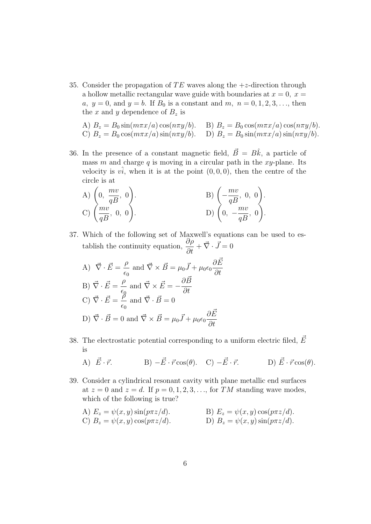35. Consider the propagation of TE waves along the  $+z$ -direction through a hollow metallic rectangular wave guide with boundaries at  $x = 0, x =$ a,  $y = 0$ , and  $y = b$ . If  $B_0$  is a constant and  $m, n = 0, 1, 2, 3, \ldots$ , then the x and y dependence of  $B_z$  is

A) 
$$
B_z = B_0 \sin(m\pi x/a) \cos(n\pi y/b)
$$
. B)  $B_z = B_0 \cos(m\pi x/a) \cos(n\pi y/b)$ .  
C)  $B_z = B_0 \cos(m\pi x/a) \sin(n\pi y/b)$ . D)  $B_z = B_0 \sin(m\pi x/a) \sin(n\pi y/b)$ .

36. In the presence of a constant magnetic field,  $\vec{B} = B\hat{k}$ , a particle of mass m and charge q is moving in a circular path in the xy-plane. Its velocity is  $v\hat{i}$ , when it is at the point  $(0, 0, 0)$ , then the centre of the circle is at

A) 
$$
\left(0, \frac{mv}{qB}, 0\right)
$$
.  
\nB)  $\left(-\frac{mv}{qB}, 0, 0\right)$ .  
\nC)  $\left(\frac{mv}{qB}, 0, 0\right)$ .  
\nD)  $\left(0, -\frac{mv}{qB}, 0\right)$ .

37. Which of the following set of Maxwell's equations can be used to establish the continuity equation,  $\frac{\partial \rho}{\partial t} + \vec{\nabla} \cdot \vec{J} = 0$ 

A) 
$$
\vec{\nabla} \cdot \vec{E} = \frac{\rho}{\epsilon_0}
$$
 and  $\vec{\nabla} \times \vec{B} = \mu_0 \vec{J} + \mu_0 \epsilon_0 \frac{\partial \vec{E}}{\partial t}$   
\nB)  $\vec{\nabla} \cdot \vec{E} = \frac{\rho}{\epsilon_0}$  and  $\vec{\nabla} \times \vec{E} = -\frac{\partial \vec{B}}{\partial t}$   
\nC)  $\vec{\nabla} \cdot \vec{E} = \frac{\rho}{\epsilon_0}$  and  $\vec{\nabla} \cdot \vec{B} = 0$   
\nD)  $\vec{\nabla} \cdot \vec{B} = 0$  and  $\vec{\nabla} \times \vec{B} = \mu_0 \vec{J} + \mu_0 \epsilon_0 \frac{\partial \vec{E}}{\partial t}$ 

38. The electrostatic potential corresponding to a uniform electric filed,  $E~$ is

A) 
$$
\vec{E} \cdot \vec{r}
$$
. B)  $-\vec{E} \cdot \vec{r} \cos(\theta)$ . C)  $-\vec{E} \cdot \vec{r}$ . D)  $\vec{E} \cdot \vec{r} \cos(\theta)$ .

39. Consider a cylindrical resonant cavity with plane metallic end surfaces at  $z = 0$  and  $z = d$ . If  $p = 0, 1, 2, 3, \ldots$ , for TM standing wave modes, which of the following is true?

A) 
$$
E_z = \psi(x, y) \sin(p\pi z/d)
$$
.  
\nB)  $E_z = \psi(x, y) \cos(p\pi z/d)$ .  
\nC)  $B_z = \psi(x, y) \cos(p\pi z/d)$ .  
\nD)  $B_z = \psi(x, y) \sin(p\pi z/d)$ .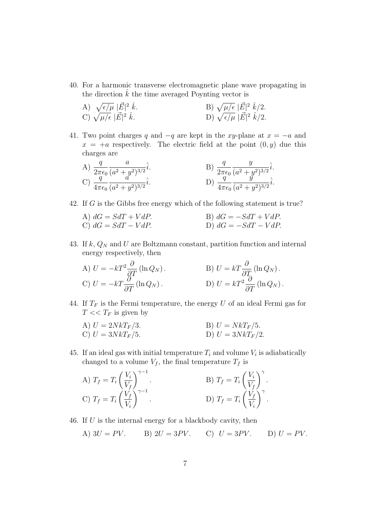- 40. For a harmonic transverse electromagnetic plane wave propagating in the direction  $\hat{k}$  the time averaged Poynting vector is
	- A)  $\sqrt{\epsilon/\mu}$   $|\vec{E}|$  $\hat{k}$ . B)  $\sqrt{\mu/\epsilon}$   $|\vec{E}|^2 \hat{k}/2$ . C)  $\sqrt{\mu/\epsilon}$   $|\vec{E}|$ 2  $\hat{k}$ . D)  $\sqrt{\epsilon/\mu} |\vec{E}|^2 \hat{k}/2$ .
- 41. Two point charges q and  $-q$  are kept in the xy-plane at  $x = -a$  and  $x = a$  respectively. The electric field at the point  $(0, y)$  due this charges are

A) 
$$
\frac{q}{2\pi\epsilon_0} \frac{a}{(a^2 + y^2)^{3/2}} \hat{i}
$$
.  
\nB)  $\frac{q}{2\pi\epsilon_0} \frac{y}{(a^2 + y^2)^{3/2}} \hat{i}$ .  
\nC)  $\frac{q}{4\pi\epsilon_0} \frac{a}{(a^2 + y^2)^{3/2}} \hat{i}$ .  
\nD)  $\frac{q}{4\pi\epsilon_0} \frac{y}{(a^2 + y^2)^{3/2}} \hat{i}$ .

42. If G is the Gibbs free energy which of the following statement is true?

A) 
$$
dG = SdT + VdP
$$
.  
\nB)  $dG = -SdT + VdP$ .  
\nC)  $dG = SdT - VdP$ .  
\nD)  $dG = -SdT - VdP$ .

- 43. If  $k$ ,  $Q_N$  and U are Boltzmann constant, partition function and internal energy respectively, then
	- A)  $U = -kT^2 \frac{\partial}{\partial T} (\ln Q_N)$ .<br>B)  $U = kT \frac{\partial}{\partial T_0} (\ln Q_N)$ . C)  $U = -kT \frac{\partial^2}{\partial T} (\ln Q_N)$ . D)  $U = kT^2 \frac{\partial}{\partial T}$  $\frac{\partial}{\partial T}(\ln Q_N)$ .
- 44. If  $T_F$  is the Fermi temperature, the energy U of an ideal Fermi gas for  $T \ll T_F$  is given by
	- A)  $U = 2NkT_F/3$ . B)  $U = NkT_F/5$ . C)  $U = 3NkT_F/5$ . D)  $U = 3NkT_F/2$ .
- 45. If an ideal gas with initial temperature  $T_i$  and volume  $V_i$  is adiabatically changed to a volume  $V_f$ , the final temperature  $T_f$  is

A) 
$$
T_f = T_i \left(\frac{V_i}{V_f}\right)^{\gamma - 1}
$$
.  
\nB)  $T_f = T_i \left(\frac{V_i}{V_f}\right)^{\gamma}$ .  
\nC)  $T_f = T_i \left(\frac{V_f}{V_i}\right)^{\gamma - 1}$ .  
\nD)  $T_f = T_i \left(\frac{V_f}{V_i}\right)^{\gamma}$ .

- 46. If U is the internal energy for a blackbody cavity, then
	- A)  $3U = PV$ . B)  $2U = 3PV$ . C)  $U = 3PV$ . D)  $U = PV$ .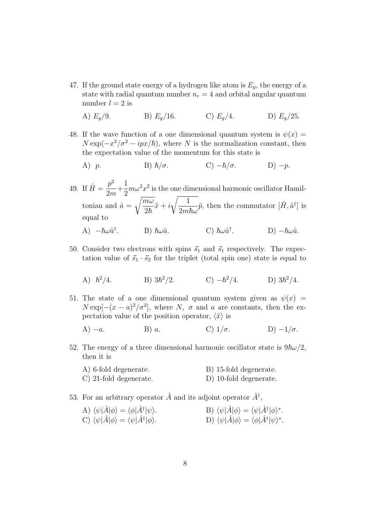47. If the ground state energy of a hydrogen like atom is  $E_g$ , the energy of a state with radial quantum number  $n_r = 4$  and orbital angular quantum number  $l = 2$  is

A) 
$$
E_g/9
$$
.  
B)  $E_g/16$ .  
C)  $E_g/4$ .  
D)  $E_g/25$ .

- 48. If the wave function of a one dimensional quantum system is  $\psi(x) =$  $N \exp(-x^2/\sigma^2 - ipx/\hbar)$ , where N is the normalization constant, then the expectation value of the momentum for this state is
	- A) p. B)  $\hbar/\sigma$ . C)  $-\hbar/\sigma$ . D) -p.
- 49. If  $\hat{H} = \frac{p^2}{2}$ 2m  $+$ 1 2  $m\omega^2 x^2$  is the one dimensional harmonic oscillator Hamiltonian and  $\hat{a} =$  $\sqrt{m\omega}$  $\frac{\partial}{\partial \bar{\hbar}}\hat{x} + i$  $\sqrt{1}$  $\overline{2m\hbar\omega}$  $\hat{p}$ , then the commutator  $[\hat{H}, \hat{a}^{\dagger}]$  is equal to A)  $-\hbar\omega\hat{a}^{\dagger}$  $B$ )  $\hbar \omega \hat{a}$ . <sup>†</sup>. D)  $-\hbar\omega\hat{a}$ .
- 50. Consider two electrons with spins  $\vec{s}_1$  and  $\vec{s}_1$  respectively. The expectation value of  $\vec{s}_1 \cdot \vec{s}_2$  for the triplet (total spin one) state is equal to

A) 
$$
\hbar^2/4
$$
. \tB)  $3\hbar^2/2$ . \tC)  $-\hbar^2/4$ . \tD)  $3\hbar^2/4$ .

51. The state of a one dimensional quantum system given as  $\psi(x)$  =  $N \exp[-(x-a)^2/\sigma^2]$ , where N,  $\sigma$  and a are constants, then the expectation value of the position operator,  $\langle \hat{x} \rangle$  is

A) 
$$
-a
$$
. B) a. C)  $1/\sigma$ . D)  $-1/\sigma$ .

- 52. The energy of a three dimensional harmonic oscillator state is  $9\hbar\omega/2$ , then it is
	- A) 6-fold degenerate. B) 15-fold degenerate. C) 21-fold degenerate. D) 10-fold degenerate.
- 53. For an arbitrary operator  $\hat{A}$  and its adjoint operator  $\hat{A}^{\dagger}$ ,

| A) $\langle \psi   \hat{A}   \phi \rangle = \langle \phi   \hat{A}^{\dagger}   \psi \rangle$ . | B) $\langle \psi   \hat{A}   \phi \rangle = \langle \psi   \hat{A}^{\dagger}   \phi \rangle^*$ . |
|------------------------------------------------------------------------------------------------|--------------------------------------------------------------------------------------------------|
| C) $\langle \psi   A   \phi \rangle = \langle \psi   A^{\dagger}   \phi \rangle$ .             | D) $\langle \psi   \hat{A}   \phi \rangle = \langle \phi   \hat{A}^{\dagger}   \psi \rangle^*$ . |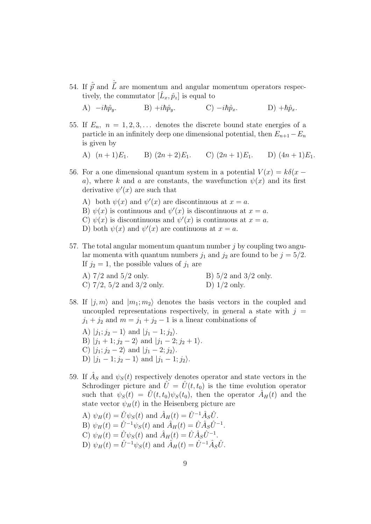54. If  $\hat{\vec{p}}$  and  $\hat{\vec{L}}$  are momentum and angular momentum operators respectively, the commutator  $[\hat{L}_x, \hat{p}_z]$  is equal to

A)  $-i\hbar\hat{p}_y$ . B)  $+i\hbar\hat{p}_y$ . C)  $-i\hbar\hat{p}_x$ . D)  $+\hbar\hat{p}_x$ .

55. If  $E_n$ ,  $n = 1, 2, 3, \ldots$  denotes the discrete bound state energies of a particle in an infinitely deep one dimensional potential, then  $E_{n+1}-E_n$ is given by

A)  $(n+1)E_1$ . B)  $(2n+2)E_1$ . C)  $(2n+1)E_1$ . D)  $(4n+1)E_1$ .

- 56. For a one dimensional quantum system in a potential  $V(x) = k\delta(x$ a), where k and a are constants, the wavefunction  $\psi(x)$  and its first derivative  $\psi'(x)$  are such that
	- A) both  $\psi(x)$  and  $\psi'(x)$  are discontinuous at  $x = a$ .
	- B)  $\psi(x)$  is continuous and  $\psi'(x)$  is discontinuous at  $x = a$ .
	- C)  $\psi(x)$  is discontinuous and  $\psi'(x)$  is continuous at  $x = a$ .
	- D) both  $\psi(x)$  and  $\psi'(x)$  are continuous at  $x = a$ .
- 57. The total angular momentum quantum number  $j$  by coupling two angular momenta with quantum numbers  $j_1$  and  $j_2$  are found to be  $j = 5/2$ . If  $j_2 = 1$ , the possible values of  $j_1$  are

| A) $7/2$ and $5/2$ only.         | B) $5/2$ and $3/2$ only. |
|----------------------------------|--------------------------|
| C) $7/2$ , $5/2$ and $3/2$ only. | D) $1/2$ only.           |

- 58. If  $|j, m\rangle$  and  $|m_1; m_2\rangle$  denotes the basis vectors in the coupled and uncoupled representations respectively, in general a state with  $j =$  $j_1 + j_2$  and  $m = j_1 + j_2 - 1$  is a linear combinations of
	- A)  $|j_1; j_2 1\rangle$  and  $|j_1 1; j_2\rangle$ . B)  $|j_1 + 1; j_2 - 2\rangle$  and  $|j_1 - 2; j_2 + 1\rangle$ . C)  $|j_1; j_2 - 2\rangle$  and  $|j_1 - 2; j_2\rangle$ . D)  $|j_1 - 1; j_2 - 1\rangle$  and  $|j_1 - 1; j_2\rangle$ .
- 59. If  $\hat{A}_S$  and  $\psi_S(t)$  respectively denotes operator and state vectors in the Schrodinger picture and  $\hat{U} = \hat{U}(t,t_0)$  is the time evolution operator such that  $\psi_S(t) = \hat{U}(t,t_0)\psi_S(t_0)$ , then the operator  $\hat{A}_H(t)$  and the state vector  $\psi_H(t)$  in the Heisenberg picture are
	- A)  $\psi_H(t) = \hat{U}\psi_S(t)$  and  $\hat{A}_H(t) = \hat{U}^{-1}\hat{A}_S\hat{U}$ . B)  $\psi_H(t) = \hat{U}^{-1} \psi_S(t)$  and  $\hat{A}_H(t) = \hat{U} \hat{A}_S \hat{U}^{-1}$ . C)  $\psi_H(t) = \hat{U}\psi_S(t)$  and  $\hat{A}_H(t) = \hat{U}\hat{A}_S\hat{U}^{-1}$ . D)  $\psi_H(t) = \hat{U}^{-1} \psi_S(t)$  and  $\hat{A}_H(t) = \hat{U}^{-1} \hat{A}_S \hat{U}$ .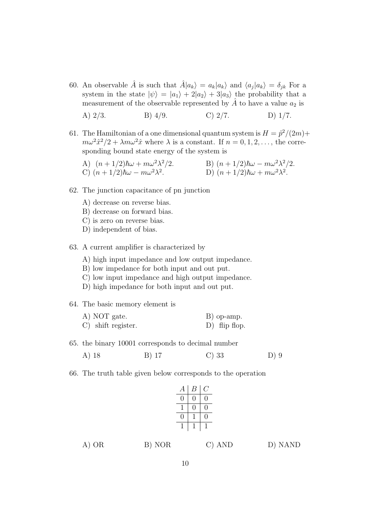60. An observable  $\hat{A}$  is such that  $\hat{A}|a_k\rangle = a_k|a_k\rangle$  and  $\langle a_j|a_k\rangle = \delta_{jk}$  For a system in the state  $|\psi\rangle = |a_1\rangle + 2|a_2\rangle + 3|a_3\rangle$  the probability that a measurement of the observable represented by  $A$  to have a value  $a_2$  is

A) 
$$
2/3
$$
. B)  $4/9$ . C)  $2/7$ . D)  $1/7$ .

- 61. The Hamiltonian of a one dimensional quantum system is  $H = \hat{p}^2/(2m) +$  $m\omega^2\hat{x}^2/2 + \lambda m\omega^2\hat{x}$  where  $\lambda$  is a constant. If  $n = 0, 1, 2, \ldots$ , the corresponding bound state energy of the system is
	- A)  $(n+1/2)\hbar\omega + m\omega^2\lambda^2/2$ . B)  $(n+1/2)\hbar\omega m\omega^2\lambda^2/2$ . C)  $(n+1/2)\hbar\omega - m\omega^2\lambda^2$ . D)  $(n+1/2)\hbar\omega + m\omega^2\lambda^2$ .
- 62. The junction capacitance of pn junction
	- A) decrease on reverse bias.
	- B) decrease on forward bias.
	- C) is zero on reverse bias.
	- D) independent of bias.
- 63. A current amplifier is characterized by
	- A) high input impedance and low output impedance.
	- B) low impedance for both input and out put.
	- C) low input impedance and high output impedance.
	- D) high impedance for both input and out put.
- 64. The basic memory element is

| A) NOT gate.                  | B) op-amp.      |
|-------------------------------|-----------------|
| $\mathcal{C}$ shift register. | $D)$ flip flop. |

65. the binary 10001 corresponds to decimal number

A) 18 B) 17 C) 33 D) 9

66. The truth table given below corresponds to the operation

| $\boldsymbol{A}$ | В | U |
|------------------|---|---|
| 0                | 0 | 0 |
| ı                | 0 | 0 |
| $\Box$           |   | 0 |
| ı                |   | 1 |

A) OR B) NOR C) AND D) NAND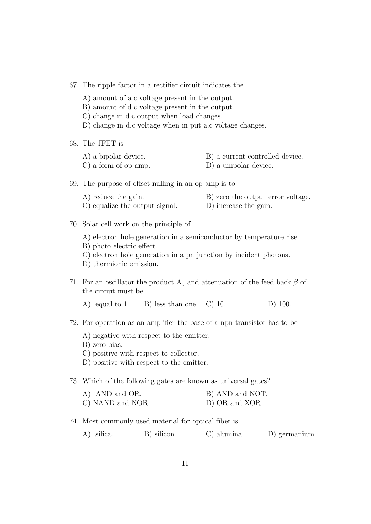67. The ripple factor in a rectifier circuit indicates the

- A) amount of a.c voltage present in the output.
- B) amount of d.c voltage present in the output.
- C) change in d.c output when load changes.
- D) change in d.c voltage when in put a.c voltage changes.

68. The JFET is

- A) a bipolar device. B) a current controlled device.
- C) a form of op-amp. D) a unipolar device.
- 69. The purpose of offset nulling in an op-amp is to
	- A) reduce the gain. B) zero the output error voltage. C) equalize the output signal. D) increase the gain.
- 70. Solar cell work on the principle of
	- A) electron hole generation in a semiconductor by temperature rise.
	- B) photo electric effect.
	- C) electron hole generation in a pn junction by incident photons.
	- D) thermionic emission.
- 71. For an oscillator the product  $A_v$  and attenuation of the feed back  $\beta$  of the circuit must be
	- A) equal to 1. B) less than one. C) 10. D) 100.
- 72. For operation as an amplifier the base of a npn transistor has to be
	- A) negative with respect to the emitter.
	- B) zero bias.
	- C) positive with respect to collector.
	- D) positive with respect to the emitter.
- 73. Which of the following gates are known as universal gates?

| A) AND and OR.   | B) AND and NOT. |
|------------------|-----------------|
| C) NAND and NOR. | D) OR and XOR.  |

- 74. Most commonly used material for optical fiber is
	- A) silica. B) silicon. C) alumina. D) germanium.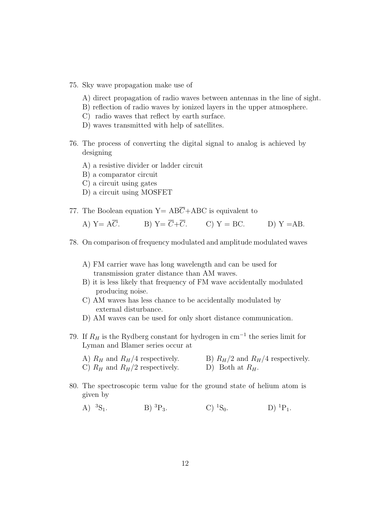- 75. Sky wave propagation make use of
	- A) direct propagation of radio waves between antennas in the line of sight.
	- B) reflection of radio waves by ionized layers in the upper atmosphere.
	- C) radio waves that reflect by earth surface.
	- D) waves transmitted with help of satellites.
- 76. The process of converting the digital signal to analog is achieved by designing
	- A) a resistive divider or ladder circuit
	- B) a comparator circuit
	- C) a circuit using gates
	- D) a circuit using MOSFET
- 77. The Boolean equation  $Y = AB\overline{C} + ABC$  is equivalent to

A) Y=  $A\overline{C}$ . B) Y=  $\overline{C} + \overline{C}$ . C) Y = BC. D) Y = AB.

- 78. On comparison of frequency modulated and amplitude modulated waves
	- A) FM carrier wave has long wavelength and can be used for transmission grater distance than AM waves.
	- B) it is less likely that frequency of FM wave accidentally modulated producing noise.
	- C) AM waves has less chance to be accidentally modulated by external disturbance.
	- D) AM waves can be used for only short distance communication.
- 79. If  $R_H$  is the Rydberg constant for hydrogen in cm<sup>-1</sup> the series limit for Lyman and Blamer series occur at
	- A)  $R_H$  and  $R_H/4$  respectively.<br>
	B)  $R_H/2$  and  $R_H/4$  respectively.<br>
	D) Both at  $R_H$ . C)  $R_H$  and  $R_H/2$  respectively.
- 80. The spectroscopic term value for the ground state of helium atom is given by
	- A)  ${}^{3}S_{1}$ . B)  ${}^{3}P_{3}$ . C)  ${}^{1}S_{0}$ . D)  ${}^{1}P_{1}$ .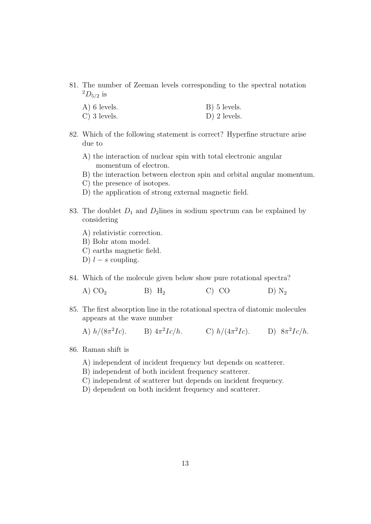81. The number of Zeeman levels corresponding to the spectral notation  $^{2}D_{5/2}$  is

| $A)$ 6 levels. | B) 5 levels.   |
|----------------|----------------|
| $C)$ 3 levels. | $D)$ 2 levels. |

- 82. Which of the following statement is correct? Hyperfine structure arise due to
	- A) the interaction of nuclear spin with total electronic angular momentum of electron.
	- B) the interaction between electron spin and orbital angular momentum.
	- C) the presence of isotopes.
	- D) the application of strong external magnetic field.
- 83. The doublet  $D_1$  and  $D_2$  lines in sodium spectrum can be explained by considering
	- A) relativistic correction.
	- B) Bohr atom model.
	- C) earths magnetic field.
	- D)  $l s$  coupling.
- 84. Which of the molecule given below show pure rotational spectra?

| A) $CO2$ | $B)$ H <sub>2</sub> | $C)$ $CO$ |  | D) $N_2$ |
|----------|---------------------|-----------|--|----------|
|----------|---------------------|-----------|--|----------|

- 85. The first absorption line in the rotational spectra of diatomic molecules appears at the wave number
	- A)  $h/(8\pi^2Ic)$ . B)  $4\pi^2Ic/h$ . C)  $h/(4\pi^2Ic)$ . D)  $8\pi^2Ic/h$ .
- 86. Raman shift is
	- A) independent of incident frequency but depends on scatterer.
	- B) independent of both incident frequency scatterer.
	- C) independent of scatterer but depends on incident frequency.
	- D) dependent on both incident frequency and scatterer.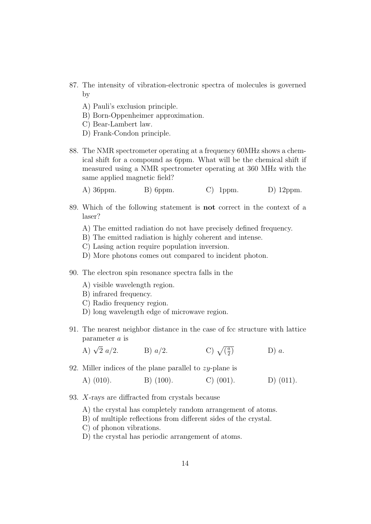- 87. The intensity of vibration-electronic spectra of molecules is governed by
	- A) Pauli's exclusion principle.
	- B) Born-Oppenheimer approximation.
	- C) Bear-Lambert law.
	- D) Frank-Condon principle.
- 88. The NMR spectrometer operating at a frequency 60MHz shows a chemical shift for a compound as 6ppm. What will be the chemical shift if measured using a NMR spectrometer operating at 360 MHz with the same applied magnetic field?
	- A) 36ppm. B) 6ppm. C) 1ppm. D) 12ppm.
- 89. Which of the following statement is not correct in the context of a laser?
	- A) The emitted radiation do not have precisely defined frequency.
	- B) The emitted radiation is highly coherent and intense.
	- C) Lasing action require population inversion.
	- D) More photons comes out compared to incident photon.
- 90. The electron spin resonance spectra falls in the
	- A) visible wavelength region.
	- B) infrared frequency.
	- C) Radio frequency region.
	- D) long wavelength edge of microwave region.
- 91. The nearest neighbor distance in the case of fcc structure with lattice parameter a is

A)  $\sqrt{2} a/2$ .  $\overline{2} a/2$ . B)  $a/2$ . C)  $\sqrt{\frac{a}{2}}$  $\frac{a}{2}$  D) a.

92. Miller indices of the plane parallel to  $zy$ -plane is

A) (010). B) (100). C) (001). D) (011).

- 93. X-rays are diffracted from crystals because
	- A) the crystal has completely random arrangement of atoms.
	- B) of multiple reflections from different sides of the crystal.
	- C) of phonon vibrations.
	- D) the crystal has periodic arrangement of atoms.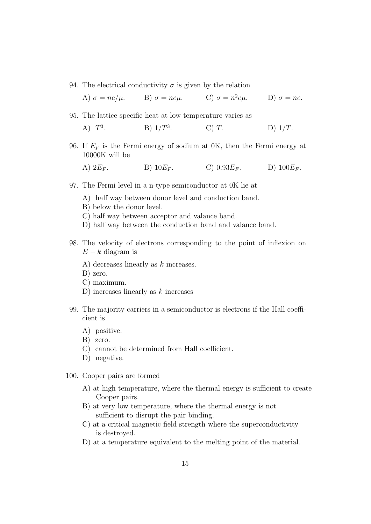94. The electrical conductivity  $\sigma$  is given by the relation

A) 
$$
\sigma = ne/\mu
$$
. B)  $\sigma = ne\mu$ . C)  $\sigma = n^2e\mu$ . D)  $\sigma = ne$ .

- 95. The lattice specific heat at low temperature varies as
	- A)  $T^3$ . B)  $1/T^3$ C)  $T$ . D)  $1/T$ .
- 96. If  $E_F$  is the Fermi energy of sodium at 0K, then the Fermi energy at 10000K will be
	- A)  $2E_F$ . B)  $10E_F$ . C)  $0.93E_F$ . D)  $100E_F$ .
- 97. The Fermi level in a n-type semiconductor at 0K lie at
	- A) half way between donor level and conduction band.
	- B) below the donor level.
	- C) half way between acceptor and valance band.
	- D) half way between the conduction band and valance band.
- 98. The velocity of electrons corresponding to the point of inflexion on  $E - k$  diagram is
	- A) decreases linearly as k increases.
	- B) zero.
	- C) maximum.
	- D) increases linearly as k increases
- 99. The majority carriers in a semiconductor is electrons if the Hall coefficient is
	- A) positive.
	- B) zero.
	- C) cannot be determined from Hall coefficient.
	- D) negative.
- 100. Cooper pairs are formed
	- A) at high temperature, where the thermal energy is sufficient to create Cooper pairs.
	- B) at very low temperature, where the thermal energy is not sufficient to disrupt the pair binding.
	- C) at a critical magnetic field strength where the superconductivity is destroyed.
	- D) at a temperature equivalent to the melting point of the material.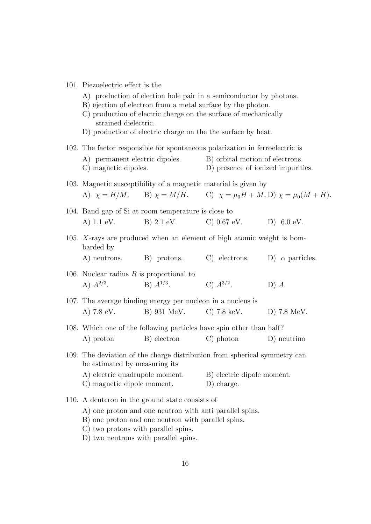| 101. Piezoelectric effect is the |
|----------------------------------|
|                                  |

- A) production of election hole pair in a semiconductor by photons.
- B) ejection of electron from a metal surface by the photon.
- C) production of electric charge on the surface of mechanically strained dielectric.
- D) production of electric charge on the the surface by heat.
- 102. The factor responsible for spontaneous polarization in ferroelectric is
	- A) permanent electric dipoles. B) orbital motion of electrons.
	- C) magnetic dipoles. D) presence of ionized impurities.
- 103. Magnetic susceptibility of a magnetic material is given by

A) 
$$
\chi = H/M
$$
. B)  $\chi = M/H$ . C)  $\chi = \mu_0 H + M$ . D)  $\chi = \mu_0 (M + H)$ .

- 104. Band gap of Si at room temperature is close to A) 1.1 eV. B) 2.1 eV. C) 0.67 eV. D) 6.0 eV.
- 105. X-rays are produced when an element of high atomic weight is bombarded by
	- A) neutrons. B) protons. C) electrons. D)  $\alpha$  particles.
- 106. Nuclear radius  $R$  is proportional to A)  $A^{2/3}$ .  $B) A^{1/3}$ . C)  $A^{3/2}$ .  $D)$   $A$ .
- 107. The average binding energy per nucleon in a nucleus is A) 7.8 eV. B) 931 MeV. C) 7.8 keV. D) 7.8 MeV.
- 108. Which one of the following particles have spin other than half?
	- A) proton B) electron C) photon D) neutrino
- 109. The deviation of the charge distribution from spherical symmetry can be estimated by measuring its
	- A) electric quadrupole moment. B) electric dipole moment. C) magnetic dipole moment. D) charge.
- 110. A deuteron in the ground state consists of
	- A) one proton and one neutron with anti parallel spins.
	- B) one proton and one neutron with parallel spins.
	- C) two protons with parallel spins.
	- D) two neutrons with parallel spins.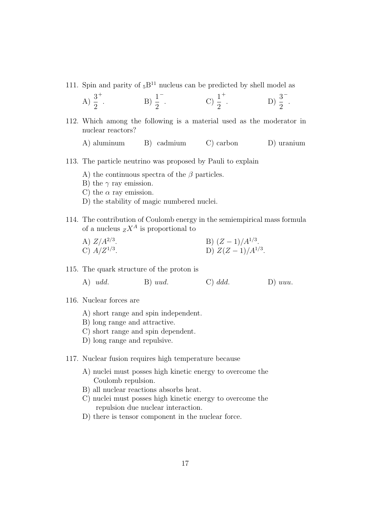111. Spin and parity of  ${}_{5}B^{11}$  nucleus can be predicted by shell model as

A) 
$$
\frac{3}{2}^+
$$
. \tB)  $\frac{1}{2}^-$ . \tC)  $\frac{1}{2}^+$ . \tD)  $\frac{3}{2}^-$ .

- 112. Which among the following is a material used as the moderator in nuclear reactors?
	- A) aluminum B) cadmium C) carbon D) uranium
- 113. The particle neutrino was proposed by Pauli to explain
	- A) the continuous spectra of the  $\beta$  particles.
	- B) the  $\gamma$  ray emission.
	- C) the  $\alpha$  ray emission.
	- D) the stability of magic numbered nuclei.
- 114. The contribution of Coulomb energy in the semiempirical mass formula of a nucleus  $Z^A$  is proportional to
	- A)  $Z/A^{2/3}$ . . B)  $(Z-1)/A^{1/3}$ . C)  $A/Z^{1/3}$ . . D)  $Z(Z-1)/A^{1/3}$ .
- 115. The quark structure of the proton is
	- A) udd. B) uud. C) ddd. D) uuu.
- 116. Nuclear forces are
	- A) short range and spin independent.
	- B) long range and attractive.
	- C) short range and spin dependent.
	- D) long range and repulsive.
- 117. Nuclear fusion requires high temperature because
	- A) nuclei must posses high kinetic energy to overcome the Coulomb repulsion.
	- B) all nuclear reactions absorbs heat.
	- C) nuclei must posses high kinetic energy to overcome the repulsion due nuclear interaction.
	- D) there is tensor component in the nuclear force.